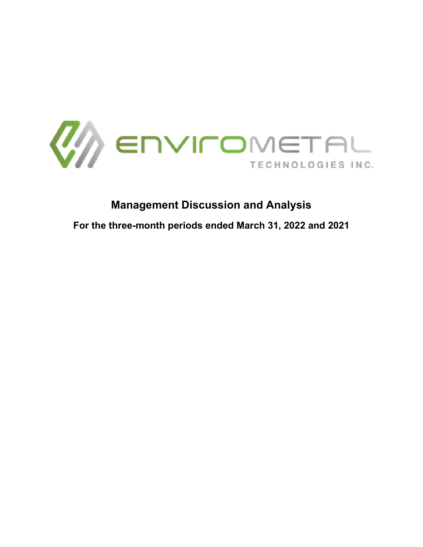

# **Management Discussion and Analysis**

**For the three-month periods ended March 31, 2022 and 2021**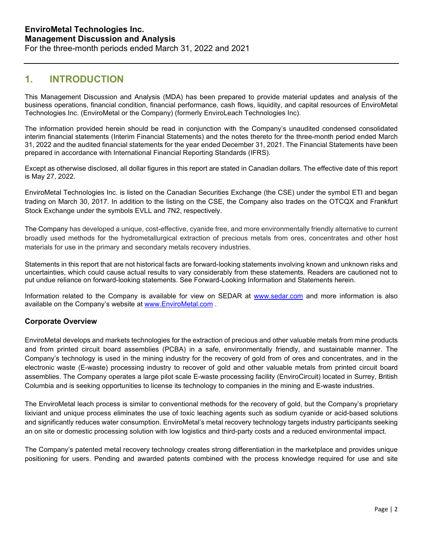### **1. INTRODUCTION**

This Management Discussion and Analysis (MDA) has been prepared to provide material updates and analysis of the business operations, financial condition, financial performance, cash flows, liquidity, and capital resources of EnviroMetal Technologies Inc. (EnviroMetal or the Company) (formerly EnviroLeach Technologies Inc).

The information provided herein should be read in conjunction with the Company's unaudited condensed consolidated interim financial statements (Interim Financial Statements) and the notes thereto for the three-month period ended March 31, 2022 and the audited financial statements for the year ended December 31, 2021. The Financial Statements have been prepared in accordance with International Financial Reporting Standards (IFRS).

Except as otherwise disclosed, all dollar figures in this report are stated in Canadian dollars. The effective date of this report is May 27, 2022.

EnviroMetal Technologies Inc. is listed on the Canadian Securities Exchange (the CSE) under the symbol ETI and began trading on March 30, 2017. In addition to the listing on the CSE, the Company also trades on the OTCQX and Frankfurt Stock Exchange under the symbols EVLL and 7N2, respectively.

The Company has developed a unique, cost-effective, cyanide free, and more environmentally friendly alternative to current broadly used methods for the hydrometallurgical extraction of precious metals from ores, concentrates and other host materials for use in the primary and secondary metals recovery industries.

Statements in this report that are not historical facts are forward-looking statements involving known and unknown risks and uncertainties, which could cause actual results to vary considerably from these statements. Readers are cautioned not to put undue reliance on forward-looking statements. See Forward-Looking Information and Statements herein.

Information related to the Company is available for view on SEDAR at [www.sedar.com](http://www.sedar.com/) and more information is also available on the Company's website at [www.EnviroMetal.com](http://www.enviroleach.com/) .

### **Corporate Overview**

EnviroMetal develops and markets technologies for the extraction of precious and other valuable metals from mine products and from printed circuit board assemblies (PCBA) in a safe, environmentally friendly, and sustainable manner. The Company's technology is used in the mining industry for the recovery of gold from of ores and concentrates, and in the electronic waste (E-waste) processing industry to recover of gold and other valuable metals from printed circuit board assemblies. The Company operates a large pilot scale E-waste processing facility (EnviroCircuit) located in Surrey, British Columbia and is seeking opportunities to license its technology to companies in the mining and E-waste industries.

The EnviroMetal leach process is similar to conventional methods for the recovery of gold, but the Company's proprietary lixiviant and unique process eliminates the use of toxic leaching agents such as sodium cyanide or acid-based solutions and significantly reduces water consumption. EnviroMetal's metal recovery technology targets industry participants seeking an on site or domestic processing solution with low logistics and third-party costs and a reduced environmental impact.

The Company's patented metal recovery technology creates strong differentiation in the marketplace and provides unique positioning for users. Pending and awarded patents combined with the process knowledge required for use and site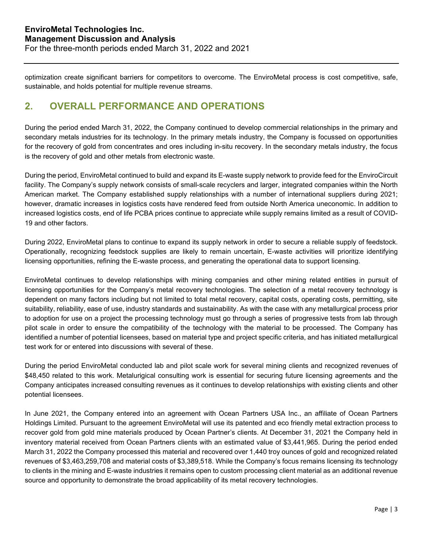optimization create significant barriers for competitors to overcome. The EnviroMetal process is cost competitive, safe, sustainable, and holds potential for multiple revenue streams.

## **2. OVERALL PERFORMANCE AND OPERATIONS**

During the period ended March 31, 2022, the Company continued to develop commercial relationships in the primary and secondary metals industries for its technology. In the primary metals industry, the Company is focussed on opportunities for the recovery of gold from concentrates and ores including in-situ recovery. In the secondary metals industry, the focus is the recovery of gold and other metals from electronic waste.

During the period, EnviroMetal continued to build and expand its E-waste supply network to provide feed for the EnviroCircuit facility. The Company's supply network consists of small-scale recyclers and larger, integrated companies within the North American market. The Company established supply relationships with a number of international suppliers during 2021; however, dramatic increases in logistics costs have rendered feed from outside North America uneconomic. In addition to increased logistics costs, end of life PCBA prices continue to appreciate while supply remains limited as a result of COVID-19 and other factors.

During 2022, EnviroMetal plans to continue to expand its supply network in order to secure a reliable supply of feedstock. Operationally, recognizing feedstock supplies are likely to remain uncertain, E-waste activities will prioritize identifying licensing opportunities, refining the E-waste process, and generating the operational data to support licensing.

EnviroMetal continues to develop relationships with mining companies and other mining related entities in pursuit of licensing opportunities for the Company's metal recovery technologies. The selection of a metal recovery technology is dependent on many factors including but not limited to total metal recovery, capital costs, operating costs, permitting, site suitability, reliability, ease of use, industry standards and sustainability. As with the case with any metallurgical process prior to adoption for use on a project the processing technology must go through a series of progressive tests from lab through pilot scale in order to ensure the compatibility of the technology with the material to be processed. The Company has identified a number of potential licensees, based on material type and project specific criteria, and has initiated metallurgical test work for or entered into discussions with several of these.

During the period EnviroMetal conducted lab and pilot scale work for several mining clients and recognized revenues of \$48,450 related to this work. Metalurigical consulting work is essential for securing future licensing agreements and the Company anticipates increased consulting revenues as it continues to develop relationships with existing clients and other potential licensees.

In June 2021, the Company entered into an agreement with Ocean Partners USA Inc., an affiliate of Ocean Partners Holdings Limited. Pursuant to the agreement EnviroMetal will use its patented and eco friendly metal extraction process to recover gold from gold mine materials produced by Ocean Partner's clients. At December 31, 2021 the Company held in inventory material received from Ocean Partners clients with an estimated value of \$3,441,965. During the period ended March 31, 2022 the Company processed this material and recovered over 1,440 troy ounces of gold and recognized related revenues of \$3,463,259,708 and material costs of \$3,389,518. While the Company's focus remains licensing its technology to clients in the mining and E-waste industries it remains open to custom processing client material as an additional revenue source and opportunity to demonstrate the broad applicability of its metal recovery technologies.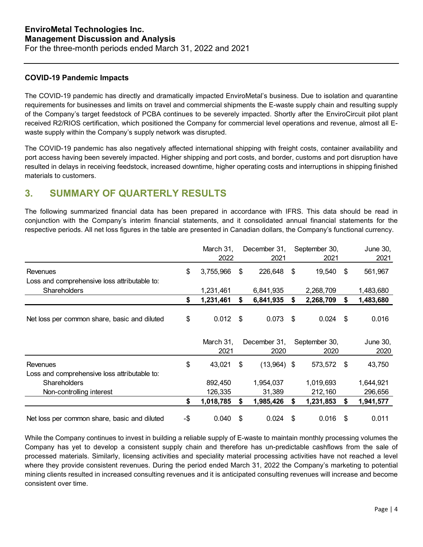### **COVID-19 Pandemic Impacts**

The COVID-19 pandemic has directly and dramatically impacted EnviroMetal's business. Due to isolation and quarantine requirements for businesses and limits on travel and commercial shipments the E-waste supply chain and resulting supply of the Company's target feedstock of PCBA continues to be severely impacted. Shortly after the EnviroCircuit pilot plant received R2/RIOS certification, which positioned the Company for commercial level operations and revenue, almost all Ewaste supply within the Company's supply network was disrupted.

The COVID-19 pandemic has also negatively affected international shipping with freight costs, container availability and port access having been severely impacted. Higher shipping and port costs, and border, customs and port disruption have resulted in delays in receiving feedstock, increased downtime, higher operating costs and interruptions in shipping finished materials to customers.

# **3. SUMMARY OF QUARTERLY RESULTS**

The following summarized financial data has been prepared in accordance with IFRS. This data should be read in conjunction with the Company's interim financial statements, and it consolidated annual financial statements for the respective periods. All net loss figures in the table are presented in Canadian dollars, the Company's functional currency.

|                                              | March 31,<br>2022 |     | December 31,<br>2021 | September 30,<br>2021 |      | June 30,<br>2021 |
|----------------------------------------------|-------------------|-----|----------------------|-----------------------|------|------------------|
| <b>Revenues</b>                              | \$<br>3,755,966   | \$  | 226,648              | \$<br>19,540          | \$   | 561,967          |
| Loss and comprehensive loss attributable to: |                   |     |                      |                       |      |                  |
| <b>Shareholders</b>                          | 1,231,461         |     | 6,841,935            | 2,268,709             |      | 1,483,680        |
|                                              | \$<br>1,231,461   | \$  | 6,841,935            | \$<br>2,268,709       | S    | 1,483,680        |
|                                              |                   |     |                      |                       |      |                  |
| Net loss per common share, basic and diluted | \$<br>0.012       | -\$ | 0.073                | \$<br>0.024           | \$   | 0.016            |
|                                              |                   |     |                      |                       |      |                  |
|                                              |                   |     |                      |                       |      |                  |
|                                              | March 31,<br>2021 |     | December 31,<br>2020 | September 30,<br>2020 |      | June 30,<br>2020 |
| Revenues                                     | \$<br>43,021      | \$  | $(13,964)$ \$        | 573,572               | - \$ | 43,750           |
| Loss and comprehensive loss attributable to: |                   |     |                      |                       |      |                  |
| <b>Shareholders</b>                          | 892,450           |     | 1,954,037            | 1,019,693             |      | 1,644,921        |
| Non-controlling interest                     | 126,335           |     | 31,389               | 212,160               |      | 296,656          |
|                                              | \$<br>1,018,785   | \$  | 1,985,426            | \$<br>1,231,853       | \$   | 1,941,577        |

While the Company continues to invest in building a reliable supply of E-waste to maintain monthly processing volumes the Company has yet to develop a consistent supply chain and therefore has un-predictable cashflows from the sale of processed materials. Similarly, licensing activities and speciality material processing activities have not reached a level where they provide consistent revenues. During the period ended March 31, 2022 the Company's marketing to potential mining clients resulted in increased consulting revenues and it is anticipated consulting revenues will increase and become consistent over time.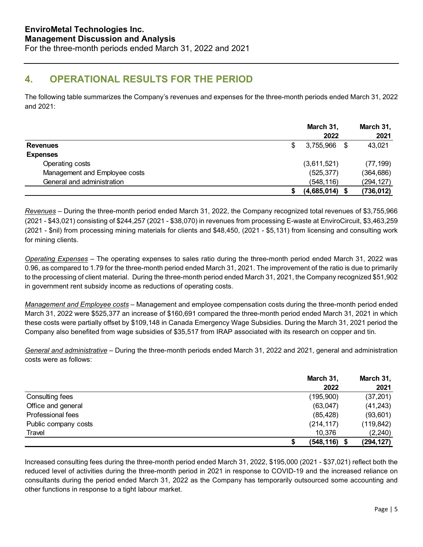# **4. OPERATIONAL RESULTS FOR THE PERIOD**

The following table summarizes the Company's revenues and expenses for the three-month periods ended March 31, 2022 and 2021:

|                               | March 31,<br>2022 | March 31,<br>2021 |
|-------------------------------|-------------------|-------------------|
| <b>Revenues</b>               | \$<br>3,755,966   | 43,021            |
| <b>Expenses</b>               |                   |                   |
| Operating costs               | (3,611,521)       | (77, 199)         |
| Management and Employee costs | (525, 377)        | (364,686)         |
| General and administration    | (548, 116)        | (294,127)         |
|                               | $(4,685,014)$ \$  | (736, 012)        |

*Revenues* – During the three-month period ended March 31, 2022, the Company recognized total revenues of \$3,755,966 (2021 - \$43,021) consisting of \$244,257 (2021 - \$38,070) in revenues from processing E-waste at EnviroCircuit, \$3,463,259 (2021 - \$nil) from processing mining materials for clients and \$48,450, (2021 - \$5,131) from licensing and consulting work for mining clients.

*Operating Expenses* – The operating expenses to sales ratio during the three-month period ended March 31, 2022 was 0.96, as compared to 1.79 for the three-month period ended March 31, 2021. The improvement of the ratio is due to primarily to the processing of client material. During the three-month period ended March 31, 2021, the Company recognized \$51,902 in government rent subsidy income as reductions of operating costs.

*Management and Employee costs* – Management and employee compensation costs during the three-month period ended March 31, 2022 were \$525,377 an increase of \$160,691 compared the three-month period ended March 31, 2021 in which these costs were partially offset by \$109,148 in Canada Emergency Wage Subsidies. During the March 31, 2021 period the Company also benefited from wage subsidies of \$35,517 from IRAP associated with its research on copper and tin.

*General and administrative* – During the three-month periods ended March 31, 2022 and 2021, general and administration costs were as follows:

|                      | March 31,       | March 31,  |
|----------------------|-----------------|------------|
|                      | 2022            | 2021       |
| Consulting fees      | (195,900)       | (37, 201)  |
| Office and general   | (63, 047)       | (41, 243)  |
| Professional fees    | (85, 428)       | (93,601)   |
| Public company costs | (214, 117)      | (119, 842) |
| Travel               | 10,376          | (2, 240)   |
|                      | $(548, 116)$ \$ | (294,127)  |

Increased consulting fees during the three-month period ended March 31, 2022, \$195,000 (2021 - \$37,021) reflect both the reduced level of activities during the three-month period in 2021 in response to COVID-19 and the increased reliance on consultants during the period ended March 31, 2022 as the Company has temporarily outsourced some accounting and other functions in response to a tight labour market.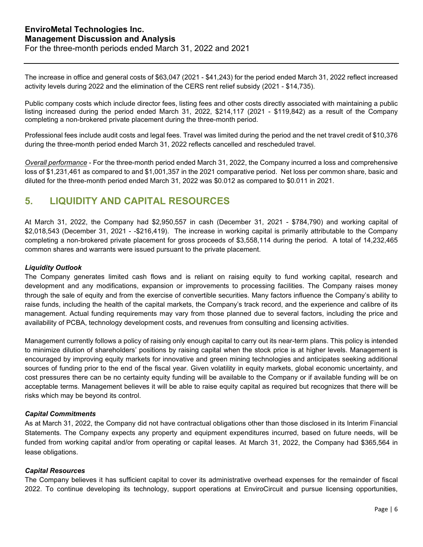The increase in office and general costs of \$63,047 (2021 - \$41,243) for the period ended March 31, 2022 reflect increased activity levels during 2022 and the elimination of the CERS rent relief subsidy (2021 - \$14,735).

Public company costs which include director fees, listing fees and other costs directly associated with maintaining a public listing increased during the period ended March 31, 2022, \$214,117 (2021 - \$119,842) as a result of the Company completing a non-brokered private placement during the three-month period.

Professional fees include audit costs and legal fees. Travel was limited during the period and the net travel credit of \$10,376 during the three-month period ended March 31, 2022 reflects cancelled and rescheduled travel.

*Overall performance* - For the three-month period ended March 31, 2022, the Company incurred a loss and comprehensive loss of \$1,231,461 as compared to and \$1,001,357 in the 2021 comparative period. Net loss per common share, basic and diluted for the three-month period ended March 31, 2022 was \$0.012 as compared to \$0.011 in 2021.

# **5. LIQUIDITY AND CAPITAL RESOURCES**

At March 31, 2022, the Company had \$2,950,557 in cash (December 31, 2021 - \$784,790) and working capital of \$2,018,543 (December 31, 2021 - -\$216,419). The increase in working capital is primarily attributable to the Company completing a non-brokered private placement for gross proceeds of \$3,558,114 during the period. A total of 14,232,465 common shares and warrants were issued pursuant to the private placement.

### *Liquidity Outlook*

The Company generates limited cash flows and is reliant on raising equity to fund working capital, research and development and any modifications, expansion or improvements to processing facilities. The Company raises money through the sale of equity and from the exercise of convertible securities. Many factors influence the Company's ability to raise funds, including the health of the capital markets, the Company's track record, and the experience and calibre of its management. Actual funding requirements may vary from those planned due to several factors, including the price and availability of PCBA, technology development costs, and revenues from consulting and licensing activities.

Management currently follows a policy of raising only enough capital to carry out its near-term plans. This policy is intended to minimize dilution of shareholders' positions by raising capital when the stock price is at higher levels. Management is encouraged by improving equity markets for innovative and green mining technologies and anticipates seeking additional sources of funding prior to the end of the fiscal year. Given volatility in equity markets, global economic uncertainty, and cost pressures there can be no certainty equity funding will be available to the Company or if available funding will be on acceptable terms. Management believes it will be able to raise equity capital as required but recognizes that there will be risks which may be beyond its control.

#### *Capital Commitments*

As at March 31, 2022, the Company did not have contractual obligations other than those disclosed in its Interim Financial Statements. The Company expects any property and equipment expenditures incurred, based on future needs, will be funded from working capital and/or from operating or capital leases. At March 31, 2022, the Company had \$365,564 in lease obligations.

#### *Capital Resources*

The Company believes it has sufficient capital to cover its administrative overhead expenses for the remainder of fiscal 2022. To continue developing its technology, support operations at EnviroCircuit and pursue licensing opportunities,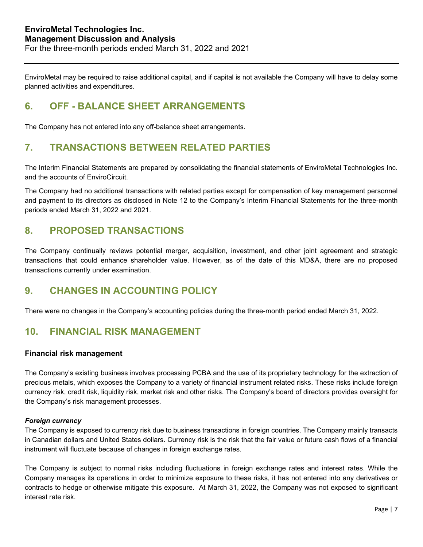EnviroMetal may be required to raise additional capital, and if capital is not available the Company will have to delay some planned activities and expenditures.

### **6. OFF - BALANCE SHEET ARRANGEMENTS**

The Company has not entered into any off-balance sheet arrangements.

### **7. TRANSACTIONS BETWEEN RELATED PARTIES**

The Interim Financial Statements are prepared by consolidating the financial statements of EnviroMetal Technologies Inc. and the accounts of EnviroCircuit.

The Company had no additional transactions with related parties except for compensation of key management personnel and payment to its directors as disclosed in Note 12 to the Company's Interim Financial Statements for the three-month periods ended March 31, 2022 and 2021.

### **8. PROPOSED TRANSACTIONS**

The Company continually reviews potential merger, acquisition, investment, and other joint agreement and strategic transactions that could enhance shareholder value. However, as of the date of this MD&A, there are no proposed transactions currently under examination.

### **9. CHANGES IN ACCOUNTING POLICY**

There were no changes in the Company's accounting policies during the three-month period ended March 31, 2022.

### **10. FINANCIAL RISK MANAGEMENT**

### **Financial risk management**

The Company's existing business involves processing PCBA and the use of its proprietary technology for the extraction of precious metals, which exposes the Company to a variety of financial instrument related risks. These risks include foreign currency risk, credit risk, liquidity risk, market risk and other risks. The Company's board of directors provides oversight for the Company's risk management processes.

#### *Foreign currency*

The Company is exposed to currency risk due to business transactions in foreign countries. The Company mainly transacts in Canadian dollars and United States dollars. Currency risk is the risk that the fair value or future cash flows of a financial instrument will fluctuate because of changes in foreign exchange rates.

The Company is subject to normal risks including fluctuations in foreign exchange rates and interest rates. While the Company manages its operations in order to minimize exposure to these risks, it has not entered into any derivatives or contracts to hedge or otherwise mitigate this exposure. At March 31, 2022, the Company was not exposed to significant interest rate risk.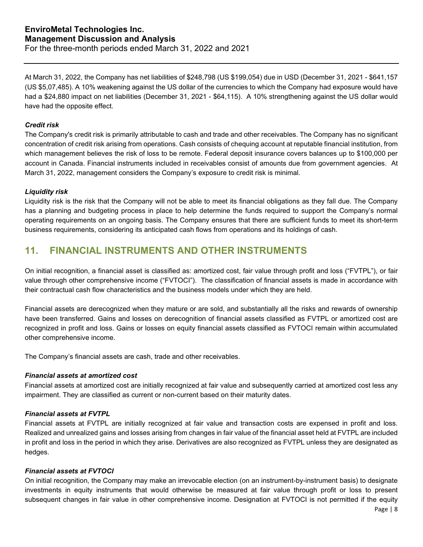At March 31, 2022, the Company has net liabilities of \$248,798 (US \$199,054) due in USD (December 31, 2021 - \$641,157 (US \$5,07,485). A 10% weakening against the US dollar of the currencies to which the Company had exposure would have had a \$24,880 impact on net liabilities (December 31, 2021 - \$64,115). A 10% strengthening against the US dollar would have had the opposite effect.

#### *Credit risk*

The Company's credit risk is primarily attributable to cash and trade and other receivables. The Company has no significant concentration of credit risk arising from operations. Cash consists of chequing account at reputable financial institution, from which management believes the risk of loss to be remote. Federal deposit insurance covers balances up to \$100,000 per account in Canada. Financial instruments included in receivables consist of amounts due from government agencies. At March 31, 2022, management considers the Company's exposure to credit risk is minimal.

#### *Liquidity risk*

Liquidity risk is the risk that the Company will not be able to meet its financial obligations as they fall due. The Company has a planning and budgeting process in place to help determine the funds required to support the Company's normal operating requirements on an ongoing basis. The Company ensures that there are sufficient funds to meet its short-term business requirements, considering its anticipated cash flows from operations and its holdings of cash.

### **11. FINANCIAL INSTRUMENTS AND OTHER INSTRUMENTS**

On initial recognition, a financial asset is classified as: amortized cost, fair value through profit and loss ("FVTPL"), or fair value through other comprehensive income ("FVTOCI"). The classification of financial assets is made in accordance with their contractual cash flow characteristics and the business models under which they are held.

Financial assets are derecognized when they mature or are sold, and substantially all the risks and rewards of ownership have been transferred. Gains and losses on derecognition of financial assets classified as FVTPL or amortized cost are recognized in profit and loss. Gains or losses on equity financial assets classified as FVTOCI remain within accumulated other comprehensive income.

The Company's financial assets are cash, trade and other receivables.

#### *Financial assets at amortized cost*

Financial assets at amortized cost are initially recognized at fair value and subsequently carried at amortized cost less any impairment. They are classified as current or non-current based on their maturity dates.

#### *Financial assets at FVTPL*

Financial assets at FVTPL are initially recognized at fair value and transaction costs are expensed in profit and loss. Realized and unrealized gains and losses arising from changes in fair value of the financial asset held at FVTPL are included in profit and loss in the period in which they arise. Derivatives are also recognized as FVTPL unless they are designated as hedges.

#### *Financial assets at FVTOCI*

On initial recognition, the Company may make an irrevocable election (on an instrument-by-instrument basis) to designate investments in equity instruments that would otherwise be measured at fair value through profit or loss to present subsequent changes in fair value in other comprehensive income. Designation at FVTOCI is not permitted if the equity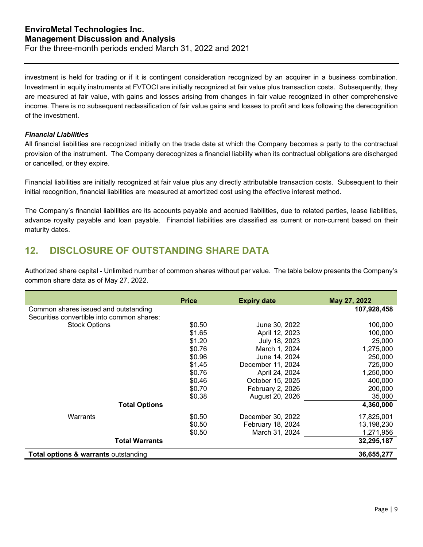investment is held for trading or if it is contingent consideration recognized by an acquirer in a business combination. Investment in equity instruments at FVTOCI are initially recognized at fair value plus transaction costs. Subsequently, they are measured at fair value, with gains and losses arising from changes in fair value recognized in other comprehensive income. There is no subsequent reclassification of fair value gains and losses to profit and loss following the derecognition of the investment.

#### *Financial Liabilities*

All financial liabilities are recognized initially on the trade date at which the Company becomes a party to the contractual provision of the instrument. The Company derecognizes a financial liability when its contractual obligations are discharged or cancelled, or they expire.

Financial liabilities are initially recognized at fair value plus any directly attributable transaction costs. Subsequent to their initial recognition, financial liabilities are measured at amortized cost using the effective interest method.

The Company's financial liabilities are its accounts payable and accrued liabilities, due to related parties, lease liabilities, advance royalty payable and loan payable. Financial liabilities are classified as current or non-current based on their maturity dates.

### **12. DISCLOSURE OF OUTSTANDING SHARE DATA**

Authorized share capital - Unlimited number of common shares without par value. The table below presents the Company's common share data as of May 27, 2022.

|                                                 | <b>Price</b> | <b>Expiry date</b> | May 27, 2022 |
|-------------------------------------------------|--------------|--------------------|--------------|
| Common shares issued and outstanding            |              |                    | 107,928,458  |
| Securities convertible into common shares:      |              |                    |              |
| <b>Stock Options</b>                            | \$0.50       | June 30, 2022      | 100,000      |
|                                                 | \$1.65       | April 12, 2023     | 100,000      |
|                                                 | \$1.20       | July 18, 2023      | 25,000       |
|                                                 | \$0.76       | March 1, 2024      | 1,275,000    |
|                                                 | \$0.96       | June 14, 2024      | 250,000      |
|                                                 | \$1.45       | December 11, 2024  | 725,000      |
|                                                 | \$0.76       | April 24, 2024     | 1,250,000    |
|                                                 | \$0.46       | October 15, 2025   | 400,000      |
|                                                 | \$0.70       | February 2, 2026   | 200,000      |
|                                                 | \$0.38       | August 20, 2026    | 35,000       |
| <b>Total Options</b>                            |              |                    | 4,360,000    |
| Warrants                                        | \$0.50       | December 30, 2022  | 17,825,001   |
|                                                 | \$0.50       | February 18, 2024  | 13,198,230   |
|                                                 | \$0.50       | March 31, 2024     | 1,271,956    |
| <b>Total Warrants</b>                           |              |                    | 32,295,187   |
| <b>Total options &amp; warrants outstanding</b> |              |                    | 36,655,277   |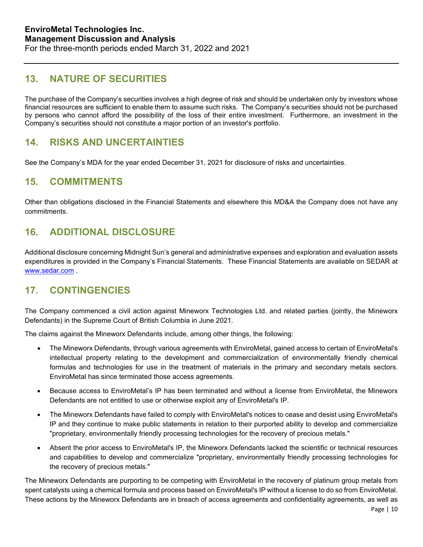# **13. NATURE OF SECURITIES**

The purchase of the Company's securities involves a high degree of risk and should be undertaken only by investors whose financial resources are sufficient to enable them to assume such risks. The Company's securities should not be purchased by persons who cannot afford the possibility of the loss of their entire investment. Furthermore, an investment in the Company's securities should not constitute a major portion of an investor's portfolio.

# **14. RISKS AND UNCERTAINTIES**

See the Company's MDA for the year ended December 31, 2021 for disclosure of risks and uncertainties.

### **15. COMMITMENTS**

Other than obligations disclosed in the Financial Statements and elsewhere this MD&A the Company does not have any commitments.

# **16. ADDITIONAL DISCLOSURE**

Additional disclosure concerning Midnight Sun's general and administrative expenses and exploration and evaluation assets expenditures is provided in the Company's Financial Statements. These Financial Statements are available on SEDAR at [www.sedar.com](http://www.sedar.com/) .

### **17. CONTINGENCIES**

The Company commenced a civil action against Mineworx Technologies Ltd. and related parties (jointly, the Mineworx Defendants) in the Supreme Court of British Columbia in June 2021.

The claims against the Mineworx Defendants include, among other things, the following:

- The Mineworx Defendants, through various agreements with EnviroMetal, gained access to certain of EnviroMetal's intellectual property relating to the development and commercialization of environmentally friendly chemical formulas and technologies for use in the treatment of materials in the primary and secondary metals sectors. EnviroMetal has since terminated those access agreements.
- Because access to EnviroMetal's IP has been terminated and without a license from EnviroMetal, the Mineworx Defendants are not entitled to use or otherwise exploit any of EnviroMetal's IP.
- The Mineworx Defendants have failed to comply with EnviroMetal's notices to cease and desist using EnviroMetal's IP and they continue to make public statements in relation to their purported ability to develop and commercialize "proprietary, environmentally friendly processing technologies for the recovery of precious metals."
- Absent the prior access to EnviroMetal's IP, the Mineworx Defendants lacked the scientific or technical resources and capabilities to develop and commercialize "proprietary, environmentally friendly processing technologies for the recovery of precious metals."

The Mineworx Defendants are purporting to be competing with EnviroMetal in the recovery of platinum group metals from spent catalysts using a chemical formula and process based on EnviroMetal's IP without a license to do so from EnviroMetal. These actions by the Mineworx Defendants are in breach of access agreements and confidentiality agreements, as well as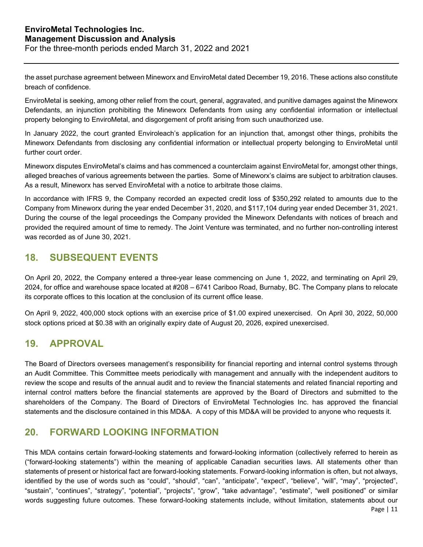the asset purchase agreement between Mineworx and EnviroMetal dated December 19, 2016. These actions also constitute breach of confidence.

EnviroMetal is seeking, among other relief from the court, general, aggravated, and punitive damages against the Mineworx Defendants, an injunction prohibiting the Mineworx Defendants from using any confidential information or intellectual property belonging to EnviroMetal, and disgorgement of profit arising from such unauthorized use.

In January 2022, the court granted Enviroleach's application for an injunction that, amongst other things, prohibits the Mineworx Defendants from disclosing any confidential information or intellectual property belonging to EnviroMetal until further court order.

Mineworx disputes EnviroMetal's claims and has commenced a counterclaim against EnviroMetal for, amongst other things, alleged breaches of various agreements between the parties. Some of Mineworx's claims are subject to arbitration clauses. As a result, Mineworx has served EnviroMetal with a notice to arbitrate those claims.

In accordance with IFRS 9, the Company recorded an expected credit loss of \$350,292 related to amounts due to the Company from Mineworx during the year ended December 31, 2020, and \$117,104 during year ended December 31, 2021. During the course of the legal proceedings the Company provided the Mineworx Defendants with notices of breach and provided the required amount of time to remedy. The Joint Venture was terminated, and no further non-controlling interest was recorded as of June 30, 2021.

### **18. SUBSEQUENT EVENTS**

On April 20, 2022, the Company entered a three-year lease commencing on June 1, 2022, and terminating on April 29, 2024, for office and warehouse space located at #208 – 6741 Cariboo Road, Burnaby, BC. The Company plans to relocate its corporate offices to this location at the conclusion of its current office lease.

On April 9, 2022, 400,000 stock options with an exercise price of \$1.00 expired unexercised. On April 30, 2022, 50,000 stock options priced at \$0.38 with an originally expiry date of August 20, 2026, expired unexercised.

### **19. APPROVAL**

The Board of Directors oversees management's responsibility for financial reporting and internal control systems through an Audit Committee. This Committee meets periodically with management and annually with the independent auditors to review the scope and results of the annual audit and to review the financial statements and related financial reporting and internal control matters before the financial statements are approved by the Board of Directors and submitted to the shareholders of the Company. The Board of Directors of EnviroMetal Technologies Inc. has approved the financial statements and the disclosure contained in this MD&A. A copy of this MD&A will be provided to anyone who requests it.

# **20. FORWARD LOOKING INFORMATION**

This MDA contains certain forward-looking statements and forward-looking information (collectively referred to herein as ("forward-looking statements") within the meaning of applicable Canadian securities laws. All statements other than statements of present or historical fact are forward-looking statements. Forward-looking information is often, but not always, identified by the use of words such as "could", "should", "can", "anticipate", "expect", "believe", "will", "may", "projected", "sustain", "continues", "strategy", "potential", "projects", "grow", "take advantage", "estimate", "well positioned" or similar words suggesting future outcomes. These forward-looking statements include, without limitation, statements about our